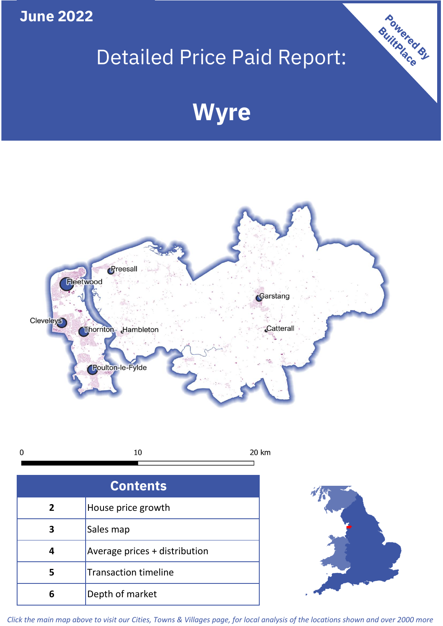**June 2022**

# Detailed Price Paid Report:

# **Wyre**



10  $\mathbf 0$ 20 km

| <b>Contents</b> |                               |  |  |
|-----------------|-------------------------------|--|--|
| $\overline{2}$  | House price growth            |  |  |
| 3               | Sales map                     |  |  |
|                 | Average prices + distribution |  |  |
| 5               | <b>Transaction timeline</b>   |  |  |
| 6               | Depth of market               |  |  |



Powered By

*Click the main map above to visit our Cities, Towns & Villages page, for local analysis of the locations shown and over 2000 more*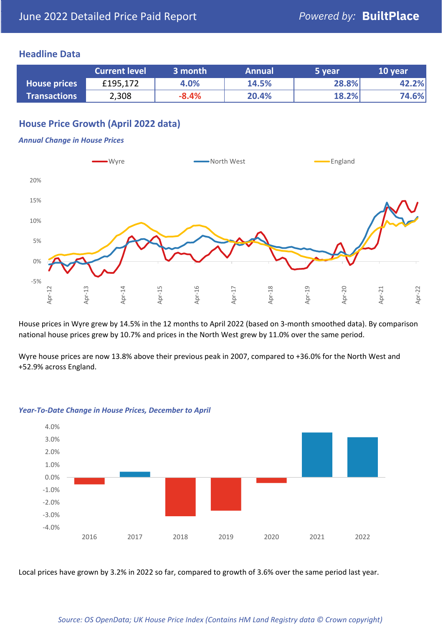## **Headline Data**

|                     | <b>Current level</b> | 3 month | <b>Annual</b> | 5 year | 10 year |
|---------------------|----------------------|---------|---------------|--------|---------|
| <b>House prices</b> | £195,172             | 4.0%    | 14.5%         | 28.8%  | 42.2%   |
| <b>Transactions</b> | 2,308                | $-8.4%$ | 20.4%         | 18.2%  | 74.6%   |

# **House Price Growth (April 2022 data)**

### *Annual Change in House Prices*



House prices in Wyre grew by 14.5% in the 12 months to April 2022 (based on 3-month smoothed data). By comparison national house prices grew by 10.7% and prices in the North West grew by 11.0% over the same period.

Wyre house prices are now 13.8% above their previous peak in 2007, compared to +36.0% for the North West and +52.9% across England.



#### *Year-To-Date Change in House Prices, December to April*

Local prices have grown by 3.2% in 2022 so far, compared to growth of 3.6% over the same period last year.

#### *Source: OS OpenData; UK House Price Index (Contains HM Land Registry data © Crown copyright)*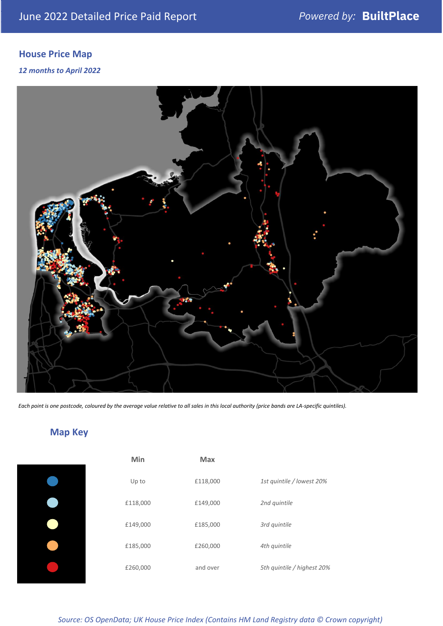# **House Price Map**

*12 months to April 2022*



*Each point is one postcode, coloured by the average value relative to all sales in this local authority (price bands are LA-specific quintiles).*

# **Map Key**

| Min      | <b>Max</b> |                            |
|----------|------------|----------------------------|
| Up to    | £118,000   | 1st quintile / lowest 20%  |
| £118,000 | £149,000   | 2nd quintile               |
| £149,000 | £185,000   | 3rd quintile               |
| £185,000 | £260,000   | 4th quintile               |
| £260,000 | and over   | 5th quintile / highest 20% |

*Source: OS OpenData; UK House Price Index (Contains HM Land Registry data © Crown copyright)*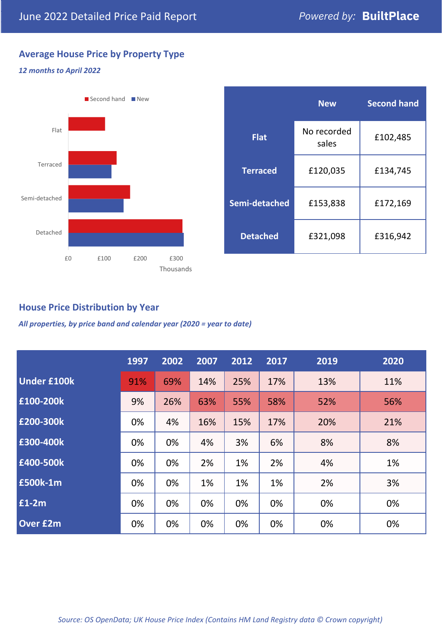# **Average House Price by Property Type**

## *12 months to April 2022*



|                 | <b>New</b>           | <b>Second hand</b> |  |  |
|-----------------|----------------------|--------------------|--|--|
| <b>Flat</b>     | No recorded<br>sales | £102,485           |  |  |
| <b>Terraced</b> | £120,035             | £134,745           |  |  |
| Semi-detached   | £153,838             | £172,169           |  |  |
| <b>Detached</b> | £321,098             | £316,942           |  |  |

## **House Price Distribution by Year**

*All properties, by price band and calendar year (2020 = year to date)*

|                    | 1997 | 2002 | 2007 | 2012 | 2017 | 2019 | 2020 |
|--------------------|------|------|------|------|------|------|------|
| <b>Under £100k</b> | 91%  | 69%  | 14%  | 25%  | 17%  | 13%  | 11%  |
| £100-200k          | 9%   | 26%  | 63%  | 55%  | 58%  | 52%  | 56%  |
| £200-300k          | 0%   | 4%   | 16%  | 15%  | 17%  | 20%  | 21%  |
| £300-400k          | 0%   | 0%   | 4%   | 3%   | 6%   | 8%   | 8%   |
| £400-500k          | 0%   | 0%   | 2%   | 1%   | 2%   | 4%   | 1%   |
| £500k-1m           | 0%   | 0%   | 1%   | 1%   | 1%   | 2%   | 3%   |
| £1-2m              | 0%   | 0%   | 0%   | 0%   | 0%   | 0%   | 0%   |
| <b>Over £2m</b>    | 0%   | 0%   | 0%   | 0%   | 0%   | 0%   | 0%   |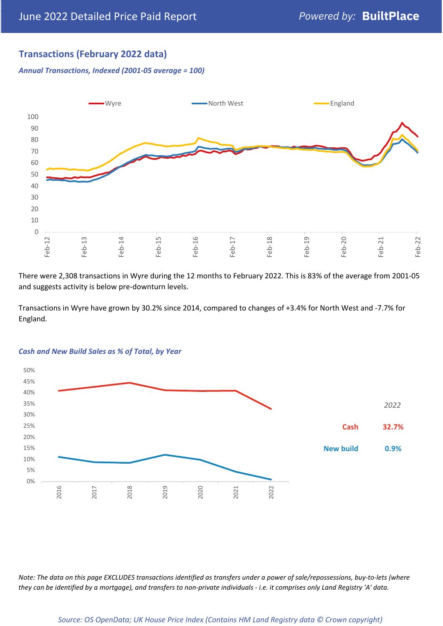## **Transactions (February 2022 data)**

*Annual Transactions, Indexed (2001-05 average = 100)*



There were 2,308 transactions in Wyre during the 12 months to February 2022. This is 83% of the average from 2001-05 and suggests activity is below pre-downturn levels.

Transactions in Wyre have grown by 30.2% since 2014, compared to changes of +3.4% for North West and -7.7% for England.



#### *Cash and New Build Sales as % of Total, by Year*

*Note: The data on this page EXCLUDES transactions identified as transfers under a power of sale/repossessions, buy-to-lets (where they can be identified by a mortgage), and transfers to non-private individuals - i.e. it comprises only Land Registry 'A' data.*